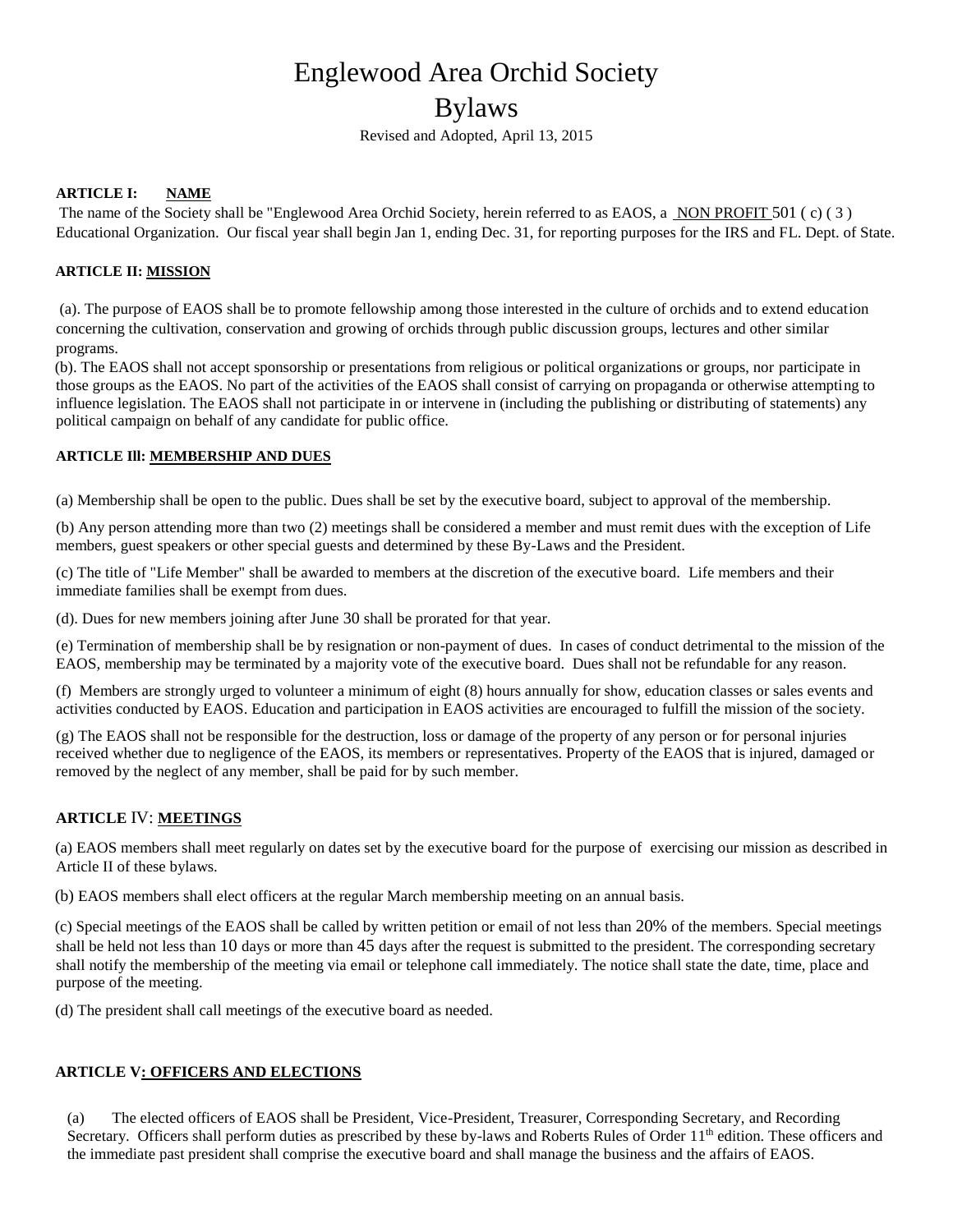# Englewood Area Orchid Society

## Bylaws

Revised and Adopted, April 13, 2015

#### **ARTICLE I: NAME**

The name of the Society shall be "Englewood Area Orchid Society, herein referred to as EAOS, a NON PROFIT 501 ( c) ( 3 ) Educational Organization. Our fiscal year shall begin Jan 1, ending Dec. 31, for reporting purposes for the IRS and FL. Dept. of State.

#### **ARTICLE II: MISSION**

(a). The purpose of EAOS shall be to promote fellowship among those interested in the culture of orchids and to extend education concerning the cultivation, conservation and growing of orchids through public discussion groups, lectures and other similar programs.

(b). The EAOS shall not accept sponsorship or presentations from religious or political organizations or groups, nor participate in those groups as the EAOS. No part of the activities of the EAOS shall consist of carrying on propaganda or otherwise attempting to influence legislation. The EAOS shall not participate in or intervene in (including the publishing or distributing of statements) any political campaign on behalf of any candidate for public office.

#### **ARTICLE Ill: MEMBERSHIP AND DUES**

(a) Membership shall be open to the public. Dues shall be set by the executive board, subject to approval of the membership.

(b) Any person attending more than two (2) meetings shall be considered a member and must remit dues with the exception of Life members, guest speakers or other special guests and determined by these By-Laws and the President.

(c) The title of "Life Member" shall be awarded to members at the discretion of the executive board. Life members and their immediate families shall be exempt from dues.

(d). Dues for new members joining after June 30 shall be prorated for that year.

(e) Termination of membership shall be by resignation or non-payment of dues. In cases of conduct detrimental to the mission of the EAOS, membership may be terminated by a majority vote of the executive board. Dues shall not be refundable for any reason.

(f) Members are strongly urged to volunteer a minimum of eight (8) hours annually for show, education classes or sales events and activities conducted by EAOS. Education and participation in EAOS activities are encouraged to fulfill the mission of the society.

(g) The EAOS shall not be responsible for the destruction, loss or damage of the property of any person or for personal injuries received whether due to negligence of the EAOS, its members or representatives. Property of the EAOS that is injured, damaged or removed by the neglect of any member, shall be paid for by such member.

### **ARTICLE** IV: **MEETINGS**

(a) EAOS members shall meet regularly on dates set by the executive board for the purpose of exercising our mission as described in Article II of these bylaws.

(b) EAOS members shall elect officers at the regular March membership meeting on an annual basis.

(c) Special meetings of the EAOS shall be called by written petition or email of not less than 20% of the members. Special meetings shall be held not less than 10 days or more than 45 days after the request is submitted to the president. The corresponding secretary shall notify the membership of the meeting via email or telephone call immediately. The notice shall state the date, time, place and purpose of the meeting.

(d) The president shall call meetings of the executive board as needed.

#### **ARTICLE V: OFFICERS AND ELECTIONS**

(a) The elected officers of EAOS shall be President, Vice-President, Treasurer, Corresponding Secretary, and Recording Secretary. Officers shall perform duties as prescribed by these by-laws and Roberts Rules of Order 11<sup>th</sup> edition. These officers and the immediate past president shall comprise the executive board and shall manage the business and the affairs of EAOS.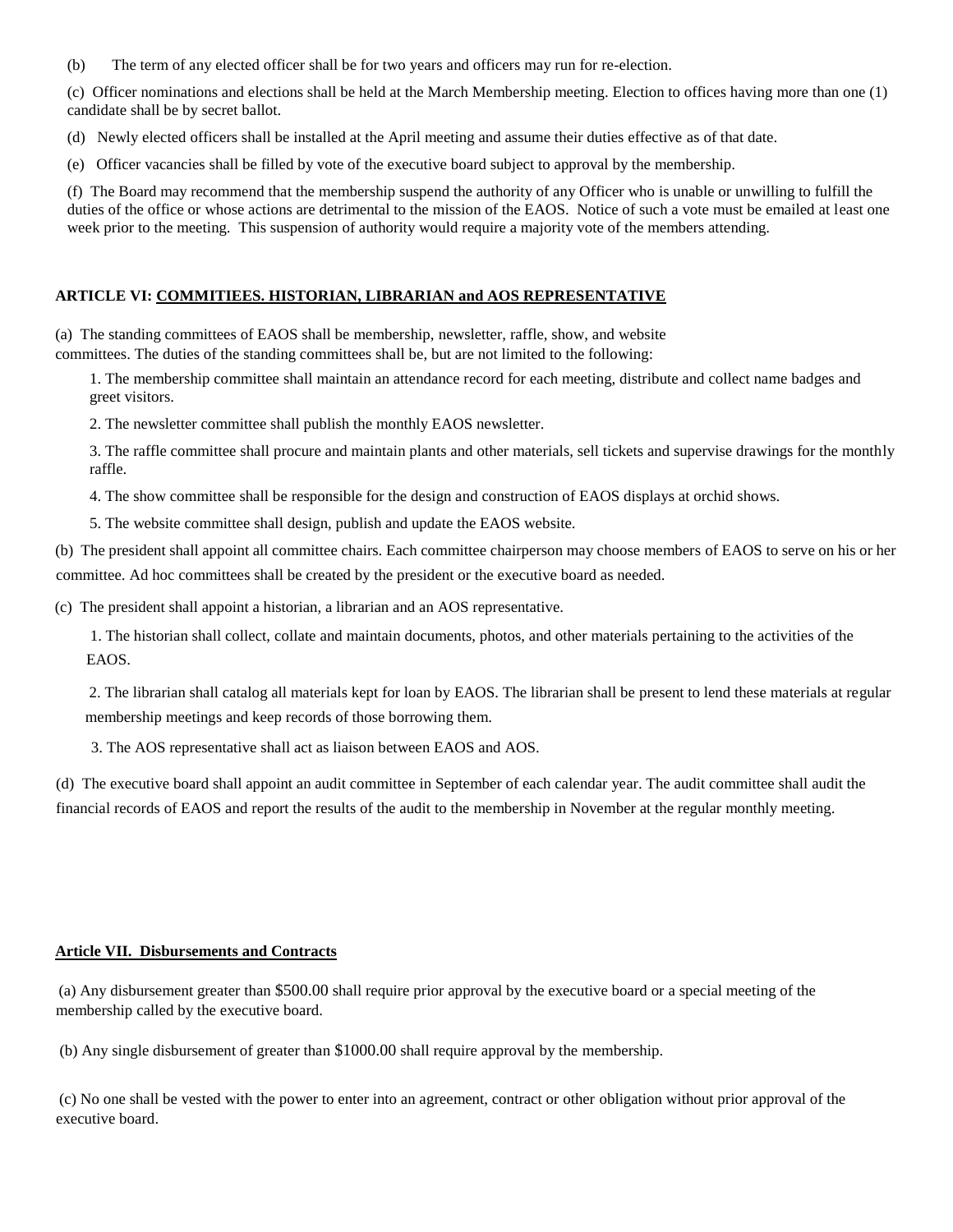(b) The term of any elected officer shall be for two years and officers may run for re-election.

(c) Officer nominations and elections shall be held at the March Membership meeting. Election to offices having more than one (1) candidate shall be by secret ballot.

(d) Newly elected officers shall be installed at the April meeting and assume their duties effective as of that date.

(e) Officer vacancies shall be filled by vote of the executive board subject to approval by the membership.

(f) The Board may recommend that the membership suspend the authority of any Officer who is unable or unwilling to fulfill the duties of the office or whose actions are detrimental to the mission of the EAOS. Notice of such a vote must be emailed at least one week prior to the meeting. This suspension of authority would require a majority vote of the members attending.

#### **ARTICLE VI: COMMITIEES. HISTORIAN, LIBRARIAN and AOS REPRESENTATIVE**

(a) The standing committees of EAOS shall be membership, newsletter, raffle, show, and website committees. The duties of the standing committees shall be, but are not limited to the following:

1. The membership committee shall maintain an attendance record for each meeting, distribute and collect name badges and greet visitors.

2. The newsletter committee shall publish the monthly EAOS newsletter.

3. The raffle committee shall procure and maintain plants and other materials, sell tickets and supervise drawings for the monthly raffle.

4. The show committee shall be responsible for the design and construction of EAOS displays at orchid shows.

5. The website committee shall design, publish and update the EAOS website.

(b) The president shall appoint all committee chairs. Each committee chairperson may choose members of EAOS to serve on his or her committee. Ad hoc committees shall be created by the president or the executive board as needed.

(c) The president shall appoint a historian, a librarian and an AOS representative.

1. The historian shall collect, collate and maintain documents, photos, and other materials pertaining to the activities of the EAOS.

2. The librarian shall catalog all materials kept for loan by EAOS. The librarian shall be present to lend these materials at regular membership meetings and keep records of those borrowing them.

3. The AOS representative shall act as liaison between EAOS and AOS.

(d) The executive board shall appoint an audit committee in September of each calendar year. The audit committee shall audit the financial records of EAOS and report the results of the audit to the membership in November at the regular monthly meeting.

#### **Article VII. Disbursements and Contracts**

(a) Any disbursement greater than \$500.00 shall require prior approval by the executive board or a special meeting of the membership called by the executive board.

(b) Any single disbursement of greater than \$1000.00 shall require approval by the membership.

(c) No one shall be vested with the power to enter into an agreement, contract or other obligation without prior approval of the executive board.